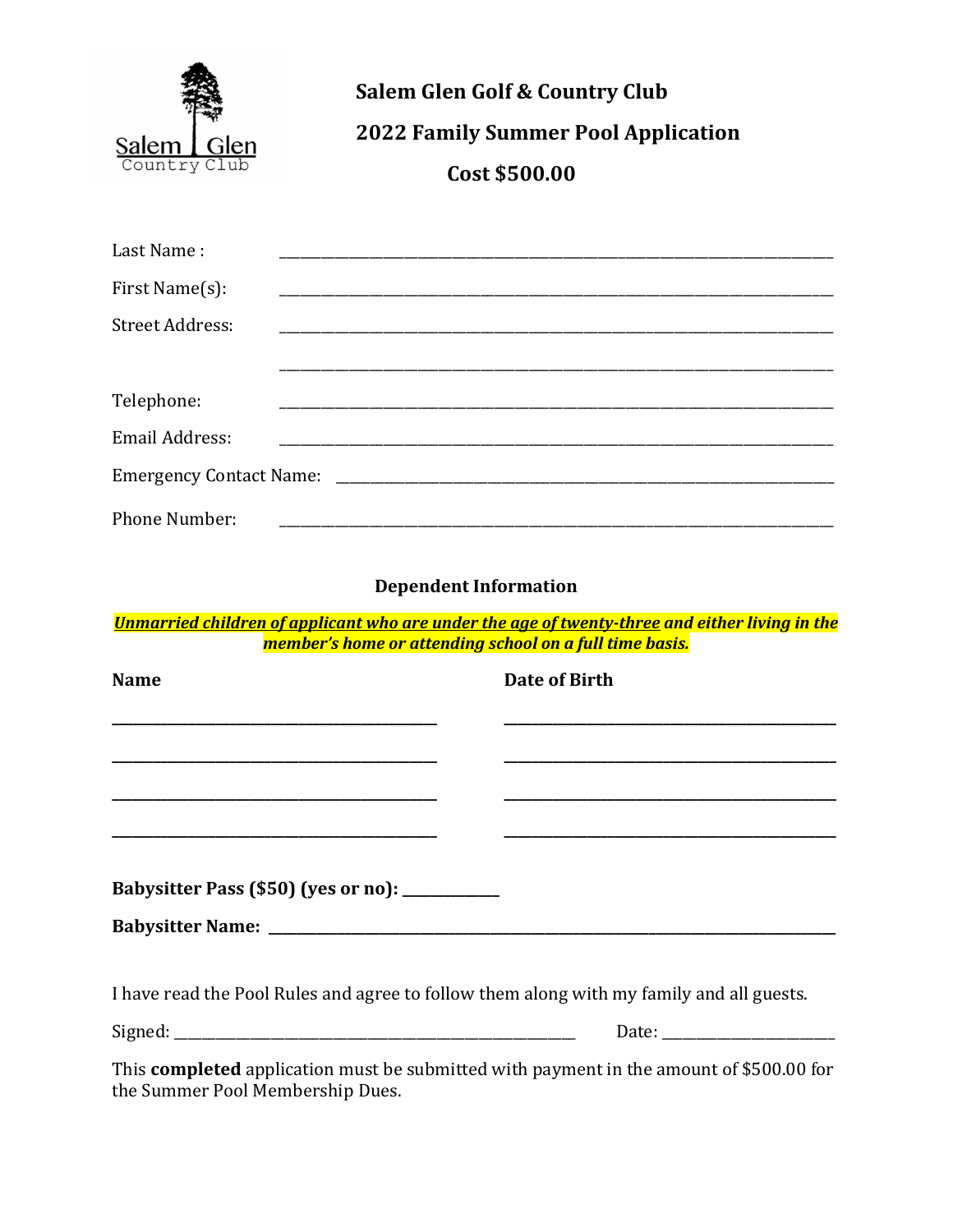

# **Salem Glen Golf & Country Club 2022 Family Summer Pool Application** Cost \$500.00

| Last Name:             |  |  |  |
|------------------------|--|--|--|
| First Name(s):         |  |  |  |
| <b>Street Address:</b> |  |  |  |
|                        |  |  |  |
| Telephone:             |  |  |  |
| Email Address:         |  |  |  |
|                        |  |  |  |
| Phone Number:          |  |  |  |

## **Dependent Information**

Unmarried children of applicant who are under the age of twenty-three and either living in the member's home or attending school on a full time basis.

| <b>Name</b>                                                                                                     | Date of Birth |
|-----------------------------------------------------------------------------------------------------------------|---------------|
|                                                                                                                 |               |
|                                                                                                                 |               |
|                                                                                                                 |               |
|                                                                                                                 |               |
|                                                                                                                 |               |
| Babysitter Pass (\$50) (yes or no): __________                                                                  |               |
|                                                                                                                 |               |
|                                                                                                                 |               |
| I have read the Pool Rules and agree to follow them along with my family and all guests.                        |               |
|                                                                                                                 |               |
| 1000 - 1000 - 1000 - 1000 - 1000 - 1000 - 1000 - 1000 - 1000 - 1000 - 1000 - 1000 - 1000 - 1000 - 1000 - 1000 - |               |

This completed application must be submitted with payment in the amount of \$500.00 for the Summer Pool Membership Dues.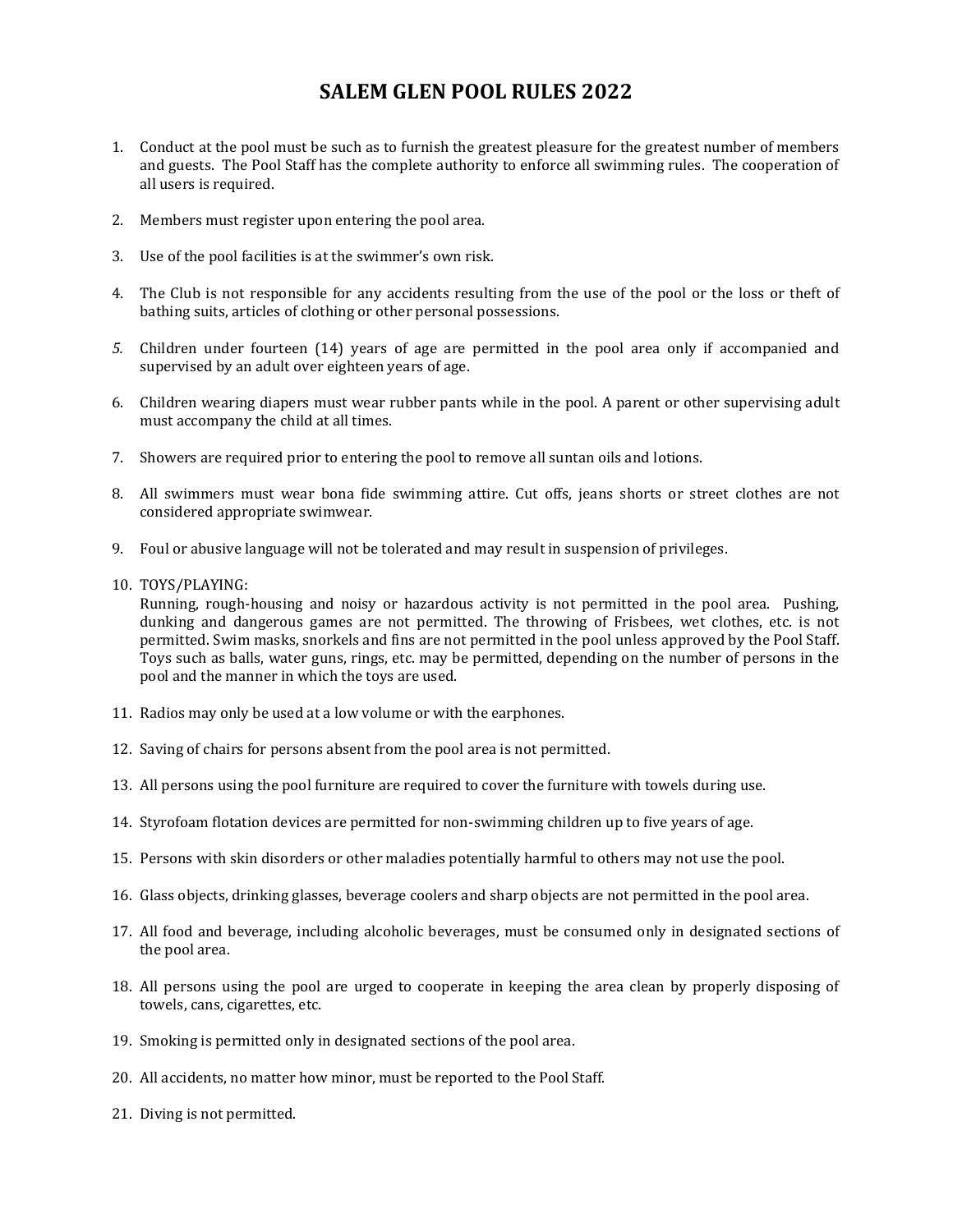## **SALEM GLEN POOL RULES 2022**

- 1. Conduct at the pool must be such as to furnish the greatest pleasure for the greatest number of members and guests. The Pool Staff has the complete authority to enforce all swimming rules. The cooperation of all users is required.
- 2. Members must register upon entering the pool area.
- 3. Use of the pool facilities is at the swimmer's own risk.
- 4. The Club is not responsible for any accidents resulting from the use of the pool or the loss or theft of bathing suits, articles of clothing or other personal possessions.
- *5.* Children under fourteen (14) years of age are permitted in the pool area only if accompanied and supervised by an adult over eighteen years of age.
- 6. Children wearing diapers must wear rubber pants while in the pool. A parent or other supervising adult must accompany the child at all times.
- 7. Showers are required prior to entering the pool to remove all suntan oils and lotions.
- 8. All swimmers must wear bona fide swimming attire. Cut offs, jeans shorts or street clothes are not considered appropriate swimwear.
- 9. Foul or abusive language will not be tolerated and may result in suspension of privileges.
- 10. TOYS/PLAYING:

Running, rough-housing and noisy or hazardous activity is not permitted in the pool area. Pushing, dunking and dangerous games are not permitted. The throwing of Frisbees, wet clothes, etc. is not permitted. Swim masks, snorkels and fins are not permitted in the pool unless approved by the Pool Staff. Toys such as balls, water guns, rings, etc. may be permitted, depending on the number of persons in the pool and the manner in which the toys are used.

- 11. Radios may only be used at a low volume or with the earphones.
- 12. Saving of chairs for persons absent from the pool area is not permitted.
- 13. All persons using the pool furniture are required to cover the furniture with towels during use.
- 14. Styrofoam flotation devices are permitted for non-swimming children up to five years of age.
- 15. Persons with skin disorders or other maladies potentially harmful to others may not use the pool.
- 16. Glass objects, drinking glasses, beverage coolers and sharp objects are not permitted in the pool area.
- 17. All food and beverage, including alcoholic beverages, must be consumed only in designated sections of the pool area.
- 18. All persons using the pool are urged to cooperate in keeping the area clean by properly disposing of towels, cans, cigarettes, etc.
- 19. Smoking is permitted only in designated sections of the pool area.
- 20. All accidents, no matter how minor, must be reported to the Pool Staff.
- 21. Diving is not permitted.